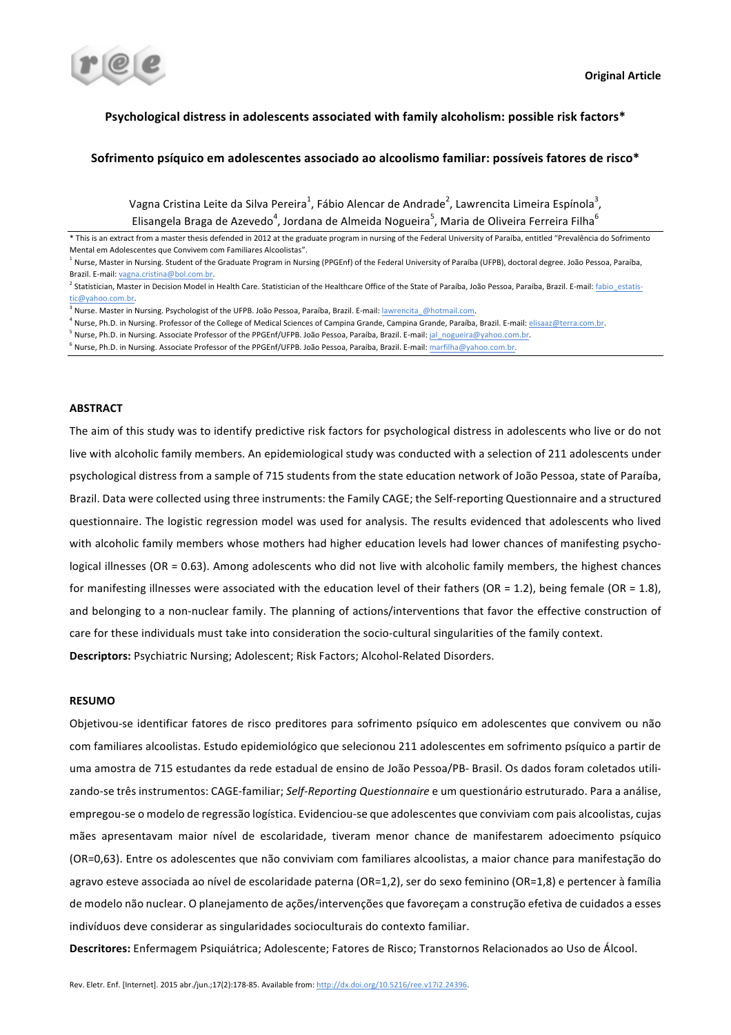

## Psychological distress in adolescents associated with family alcoholism: possible risk factors\*

## Sofrimento psíquico em adolescentes associado ao alcoolismo familiar: possíveis fatores de risco\*

Vagna Cristina Leite da Silva Pereira $^1$ , Fábio Alencar de Andrade $^2$ , Lawrencita Limeira Espínola $^3$ , Elisangela Braga de Azevedo<sup>4</sup>, Jordana de Almeida Nogueira<sup>5</sup>, Maria de Oliveira Ferreira Filha<sup>6</sup>

\* This is an extract from a master thesis defended in 2012 at the graduate program in nursing of the Federal University of Paraíba, entitled "Prevalência do Sofrimento Mental em Adolescentes que Convivem com Familiares Alcoolistas".

- <sup>4</sup> Nurse, Ph.D. in Nursing. Professor of the College of Medical Sciences of Campina Grande, Campina Grande, Paraíba, Brazil. E-mail: elisaaz@terra.com.br.
- $^5$  Nurse, Ph.D. in Nursing. Associate Professor of the PPGEnf/UFPB. João Pessoa, Paraíba, Brazil. E-mail: jal\_nogueira@yahoo.com.br.
- $6$  Nurse, Ph.D. in Nursing. Associate Professor of the PPGEnf/UFPB. João Pessoa, Paraíba, Brazil. E-mail: marfilha@yahoo.com.br.

#### **ABSTRACT**

The aim of this study was to identify predictive risk factors for psychological distress in adolescents who live or do not live with alcoholic family members. An epidemiological study was conducted with a selection of 211 adolescents under psychological distress from a sample of 715 students from the state education network of João Pessoa, state of Paraíba, Brazil. Data were collected using three instruments: the Family CAGE; the Self-reporting Questionnaire and a structured questionnaire. The logistic regression model was used for analysis. The results evidenced that adolescents who lived with alcoholic family members whose mothers had higher education levels had lower chances of manifesting psychological illnesses (OR = 0.63). Among adolescents who did not live with alcoholic family members, the highest chances for manifesting illnesses were associated with the education level of their fathers  $(OR = 1.2)$ , being female  $(OR = 1.8)$ , and belonging to a non-nuclear family. The planning of actions/interventions that favor the effective construction of care for these individuals must take into consideration the socio-cultural singularities of the family context.

**Descriptors:** Psychiatric Nursing; Adolescent; Risk Factors; Alcohol-Related Disorders.

#### **RESUMO**

Objetivou-se identificar fatores de risco preditores para sofrimento psíquico em adolescentes que convivem ou não com familiares alcoolistas. Estudo epidemiológico que selecionou 211 adolescentes em sofrimento psíquico a partir de uma amostra de 715 estudantes da rede estadual de ensino de João Pessoa/PB- Brasil. Os dados foram coletados utilizando-se três instrumentos: CAGE-familiar; Self-Reporting Questionnaire e um questionário estruturado. Para a análise, empregou-se o modelo de regressão logística. Evidenciou-se que adolescentes que conviviam com pais alcoolistas, cujas mães apresentavam maior nível de escolaridade, tiveram menor chance de manifestarem adoecimento psíquico (OR=0,63). Entre os adolescentes que não conviviam com familiares alcoolistas, a maior chance para manifestação do agravo esteve associada ao nível de escolaridade paterna (OR=1,2), ser do sexo feminino (OR=1,8) e pertencer à família de modelo não nuclear. O planejamento de ações/intervenções que favoreçam a construção efetiva de cuidados a esses indivíduos deve considerar as singularidades socioculturais do contexto familiar.

Descritores: Enfermagem Psiquiátrica; Adolescente; Fatores de Risco; Transtornos Relacionados ao Uso de Álcool.

<sup>&</sup>lt;sup>1</sup> Nurse, Master in Nursing. Student of the Graduate Program in Nursing (PPGEnf) of the Federal University of Paraíba (UFPB), doctoral degree. João Pessoa, Paraíba, Brazil. E-mail: vagna.cristina@bol.com.br.

<sup>&</sup>lt;sup>2</sup> Statistician, Master in Decision Model in Health Care. Statistician of the Healthcare Office of the State of Paraíba, João Pessoa, Paraíba, Brazil. E-mail: fabio\_estatistic@yahoo.com.br.

<sup>&</sup>lt;sup>1</sup> Nurse. Master in Nursing. Psychologist of the UFPB. João Pessoa, Paraíba, Brazil. E-mail: lawrencita\_@hotmail.com.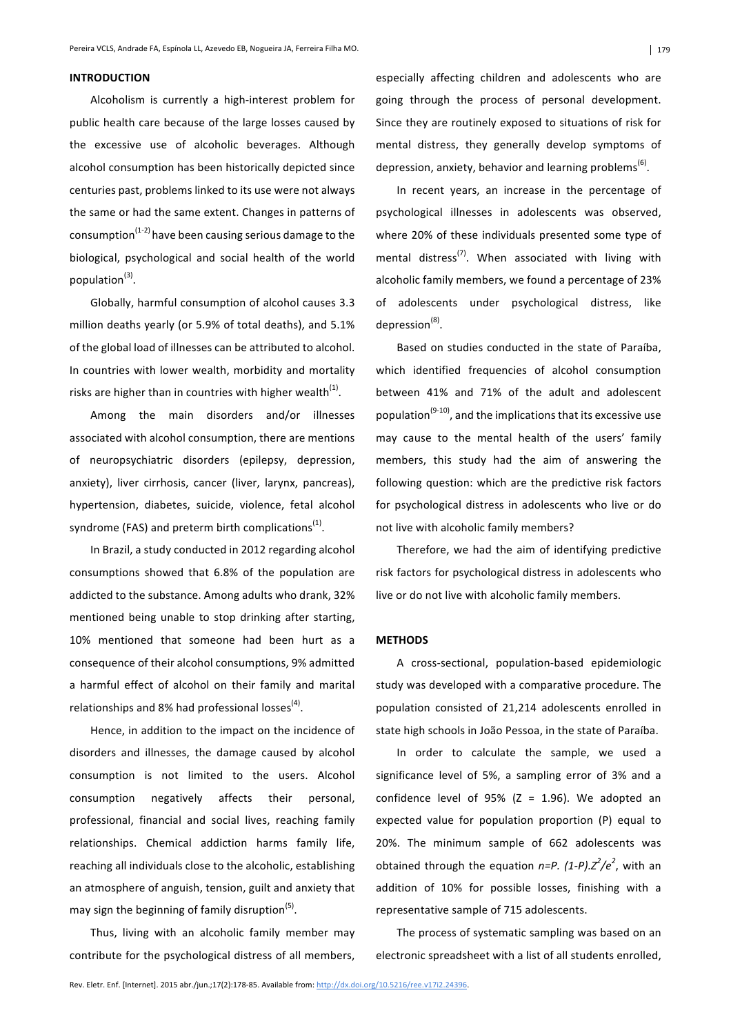## **INTRODUCTION**

Alcoholism is currently a high-interest problem for public health care because of the large losses caused by the excessive use of alcoholic beverages. Although alcohol consumption has been historically depicted since centuries past, problems linked to its use were not always the same or had the same extent. Changes in patterns of consumption<sup>(1-2)</sup> have been causing serious damage to the biological, psychological and social health of the world population $^{(3)}$ .

Globally, harmful consumption of alcohol causes 3.3 million deaths yearly (or 5.9% of total deaths), and 5.1% of the global load of illnesses can be attributed to alcohol. In countries with lower wealth, morbidity and mortality risks are higher than in countries with higher wealth<sup>(1)</sup>.

Among the main disorders and/or illnesses associated with alcohol consumption, there are mentions of neuropsychiatric disorders (epilepsy, depression, anxiety), liver cirrhosis, cancer (liver, larynx, pancreas), hypertension, diabetes, suicide, violence, fetal alcohol syndrome (FAS) and preterm birth complications<sup>(1)</sup>.

In Brazil, a study conducted in 2012 regarding alcohol consumptions showed that 6.8% of the population are addicted to the substance. Among adults who drank, 32% mentioned being unable to stop drinking after starting, 10% mentioned that someone had been hurt as a consequence of their alcohol consumptions, 9% admitted a harmful effect of alcohol on their family and marital relationships and 8% had professional losses<sup>(4)</sup>.

Hence, in addition to the impact on the incidence of disorders and illnesses, the damage caused by alcohol consumption is not limited to the users. Alcohol consumption negatively affects their personal, professional, financial and social lives, reaching family relationships. Chemical addiction harms family life, reaching all individuals close to the alcoholic, establishing an atmosphere of anguish, tension, guilt and anxiety that may sign the beginning of family disruption<sup>(5)</sup>.

Thus, living with an alcoholic family member may contribute for the psychological distress of all members, especially affecting children and adolescents who are going through the process of personal development. Since they are routinely exposed to situations of risk for mental distress, they generally develop symptoms of depression, anxiety, behavior and learning problems<sup>(6)</sup>.

In recent years, an increase in the percentage of psychological illnesses in adolescents was observed, where 20% of these individuals presented some type of mental distress<sup>(7)</sup>. When associated with living with alcoholic family members, we found a percentage of 23% of adolescents under psychological distress, like depression $<sup>(8)</sup>$ .</sup>

Based on studies conducted in the state of Paraíba, which identified frequencies of alcohol consumption between 41% and 71% of the adult and adolescent population<sup>(9-10)</sup>, and the implications that its excessive use may cause to the mental health of the users' family members, this study had the aim of answering the following question: which are the predictive risk factors for psychological distress in adolescents who live or do not live with alcoholic family members?

Therefore, we had the aim of identifying predictive risk factors for psychological distress in adolescents who live or do not live with alcoholic family members.

#### **METHODS**

A cross-sectional, population-based epidemiologic study was developed with a comparative procedure. The population consisted of 21,214 adolescents enrolled in state high schools in João Pessoa, in the state of Paraíba.

In order to calculate the sample, we used a significance level of 5%, a sampling error of 3% and a confidence level of 95% (Z = 1.96). We adopted an expected value for population proportion  $(P)$  equal to 20%. The minimum sample of 662 adolescents was obtained through the equation  $n=$ P. (1-P). $Z^2/e^2$ , with an addition of 10% for possible losses, finishing with a representative sample of 715 adolescents.

The process of systematic sampling was based on an electronic spreadsheet with a list of all students enrolled,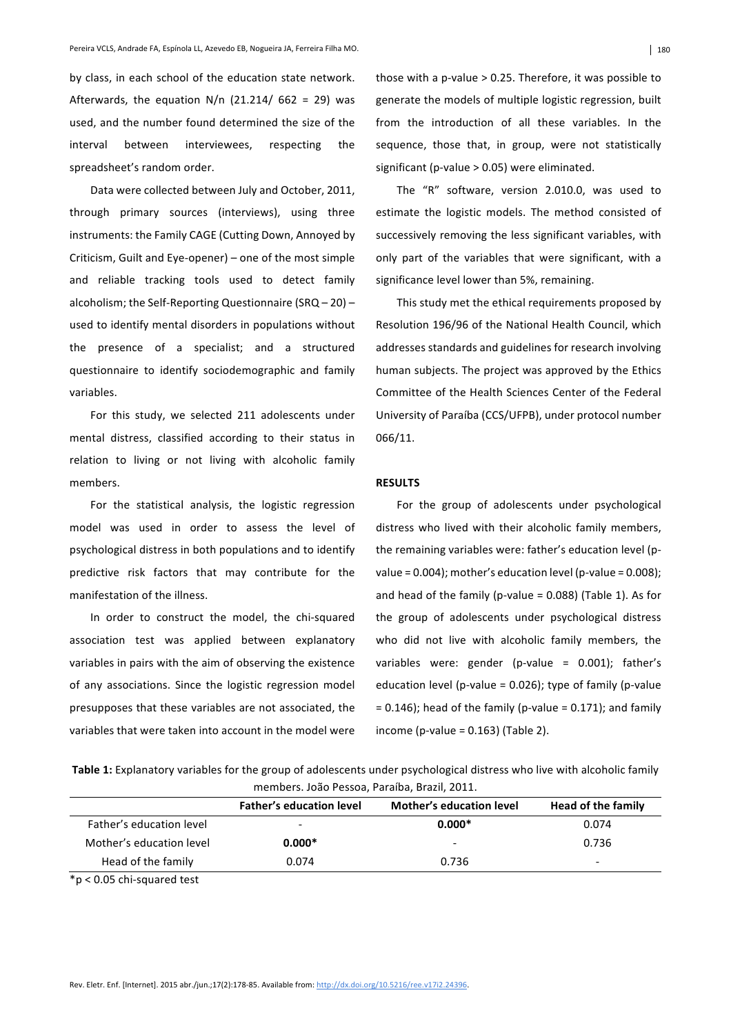by class, in each school of the education state network. Afterwards, the equation  $N/n$  (21.214/ 662 = 29) was used, and the number found determined the size of the interval between interviewees, respecting the spreadsheet's random order.

Data were collected between July and October, 2011, through primary sources (interviews), using three instruments: the Family CAGE (Cutting Down, Annoyed by Criticism, Guilt and Eye-opener) – one of the most simple and reliable tracking tools used to detect family alcoholism; the Self-Reporting Questionnaire  $(SRQ - 20)$  – used to identify mental disorders in populations without the presence of a specialist; and a structured questionnaire to identify sociodemographic and family variables.

For this study, we selected 211 adolescents under mental distress, classified according to their status in relation to living or not living with alcoholic family members.

For the statistical analysis, the logistic regression model was used in order to assess the level of psychological distress in both populations and to identify predictive risk factors that may contribute for the manifestation of the illness.

In order to construct the model, the chi-squared association test was applied between explanatory variables in pairs with the aim of observing the existence of any associations. Since the logistic regression model presupposes that these variables are not associated, the variables that were taken into account in the model were

those with a p-value  $> 0.25$ . Therefore, it was possible to generate the models of multiple logistic regression, built from the introduction of all these variables. In the sequence, those that, in group, were not statistically significant (p-value  $> 0.05$ ) were eliminated.

The "R" software, version 2.010.0, was used to estimate the logistic models. The method consisted of successively removing the less significant variables, with only part of the variables that were significant, with a significance level lower than 5%, remaining.

This study met the ethical requirements proposed by Resolution 196/96 of the National Health Council, which addresses standards and guidelines for research involving human subjects. The project was approved by the Ethics Committee of the Health Sciences Center of the Federal University of Paraíba (CCS/UFPB), under protocol number 066/11.

#### **RESULTS**

For the group of adolescents under psychological distress who lived with their alcoholic family members, the remaining variables were: father's education level (pvalue =  $0.004$ ); mother's education level (p-value =  $0.008$ ); and head of the family (p-value  $= 0.088$ ) (Table 1). As for the group of adolescents under psychological distress who did not live with alcoholic family members, the variables were: gender (p-value =  $0.001$ ); father's education level (p-value =  $0.026$ ); type of family (p-value  $= 0.146$ ; head of the family (p-value  $= 0.171$ ); and family income (p-value =  $0.163$ ) (Table 2).

Table 1: Explanatory variables for the group of adolescents under psychological distress who live with alcoholic family members. João Pessoa, Paraíba, Brazil, 2011.

|                          | <b>Father's education level</b> | Mother's education level | Head of the family |
|--------------------------|---------------------------------|--------------------------|--------------------|
| Father's education level | $\overline{\phantom{0}}$        | $0.000*$                 | 0.074              |
| Mother's education level | $0.000*$                        | $\overline{\phantom{0}}$ | 0.736              |
| Head of the family       | 0.074                           | 0.736                    |                    |
|                          |                                 |                          |                    |

\*p < 0.05 chi-squared test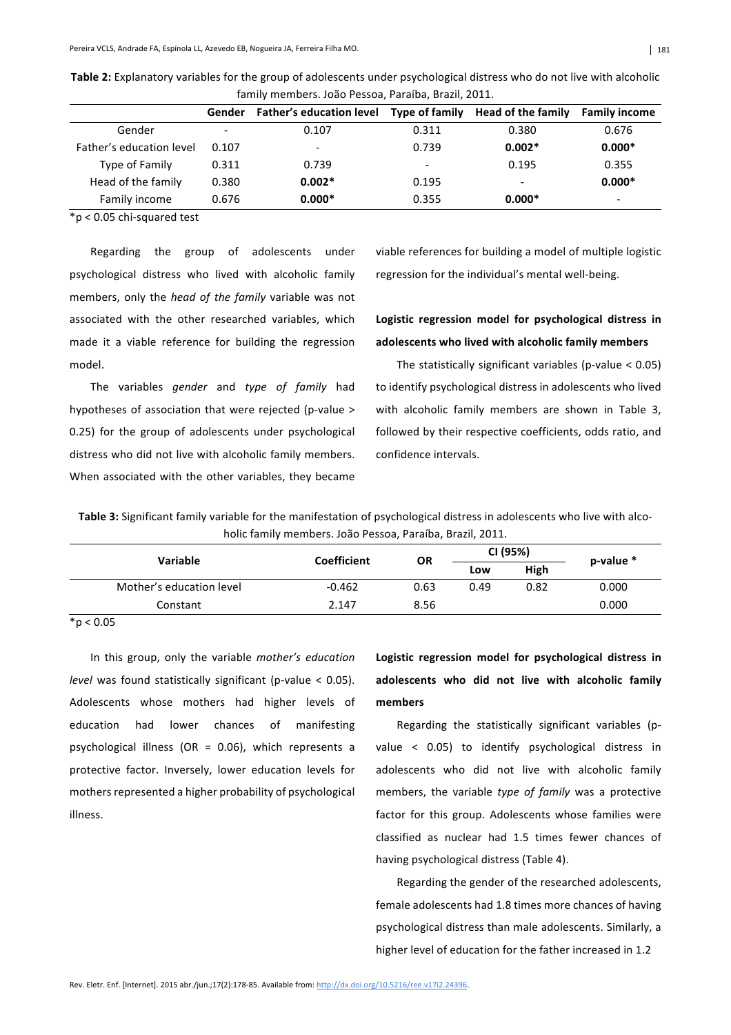| <u>ialilily lifelibers. Juau Fessua, Faraiba, Diazil, 2011.</u> |                          |                                                            |       |                          |                          |
|-----------------------------------------------------------------|--------------------------|------------------------------------------------------------|-------|--------------------------|--------------------------|
|                                                                 | Gender                   | Father's education level Type of family Head of the family |       |                          | <b>Family income</b>     |
| Gender                                                          | $\overline{\phantom{0}}$ | 0.107                                                      | 0.311 | 0.380                    | 0.676                    |
| Father's education level                                        | 0.107                    |                                                            | 0.739 | $0.002*$                 | $0.000*$                 |
| Type of Family                                                  | 0.311                    | 0.739                                                      |       | 0.195                    | 0.355                    |
| Head of the family                                              | 0.380                    | $0.002*$                                                   | 0.195 | $\overline{\phantom{0}}$ | $0.000*$                 |
| Family income                                                   | 0.676                    | $0.000*$                                                   | 0.355 | $0.000*$                 | $\overline{\phantom{a}}$ |

Table 2: Explanatory variables for the group of adolescents under psychological distress who do not live with alcoholic family members, João Pessoa, Paraíba, Brazil, 2011.

 $*p < 0.05$  chi-squared test

Regarding the group of adolescents under psychological distress who lived with alcoholic family members, only the *head of the family* variable was not associated with the other researched variables, which made it a viable reference for building the regression model.

The variables *gender* and *type of family* had hypotheses of association that were rejected (p-value > 0.25) for the group of adolescents under psychological distress who did not live with alcoholic family members. When associated with the other variables, they became

viable references for building a model of multiple logistic regression for the individual's mental well-being.

# Logistic regression model for psychological distress in adolescents who lived with alcoholic family members

The statistically significant variables (p-value  $< 0.05$ ) to identify psychological distress in adolescents who lived with alcoholic family members are shown in Table 3, followed by their respective coefficients, odds ratio, and confidence intervals.

Table 3: Significant family variable for the manifestation of psychological distress in adolescents who live with alcoholic family members. João Pessoa, Paraíba, Brazil, 2011.

| <b>Variable</b>          | <b>Coefficient</b> | <b>OR</b> | CI (95%) |      | $p$ -value $*$ |
|--------------------------|--------------------|-----------|----------|------|----------------|
|                          |                    |           | Low      | High |                |
| Mother's education level | $-0.462$           | 0.63      | 0.49     | 0.82 | 0.000          |
| Constant                 | 2.147              | 8.56      |          |      | 0.000          |

 $*p < 0.05$ 

In this group, only the variable *mother's* education *level* was found statistically significant (p-value < 0.05). Adolescents whose mothers had higher levels of education had lower chances of manifesting psychological illness (OR = 0.06), which represents a protective factor. Inversely, lower education levels for mothers represented a higher probability of psychological illness.

Logistic regression model for psychological distress in adolescents who did not live with alcoholic family **members**

Regarding the statistically significant variables (pvalue  $\leq$  0.05) to identify psychological distress in adolescents who did not live with alcoholic family members, the variable *type of family* was a protective factor for this group. Adolescents whose families were classified as nuclear had 1.5 times fewer chances of having psychological distress (Table 4).

Regarding the gender of the researched adolescents, female adolescents had 1.8 times more chances of having psychological distress than male adolescents. Similarly, a higher level of education for the father increased in 1.2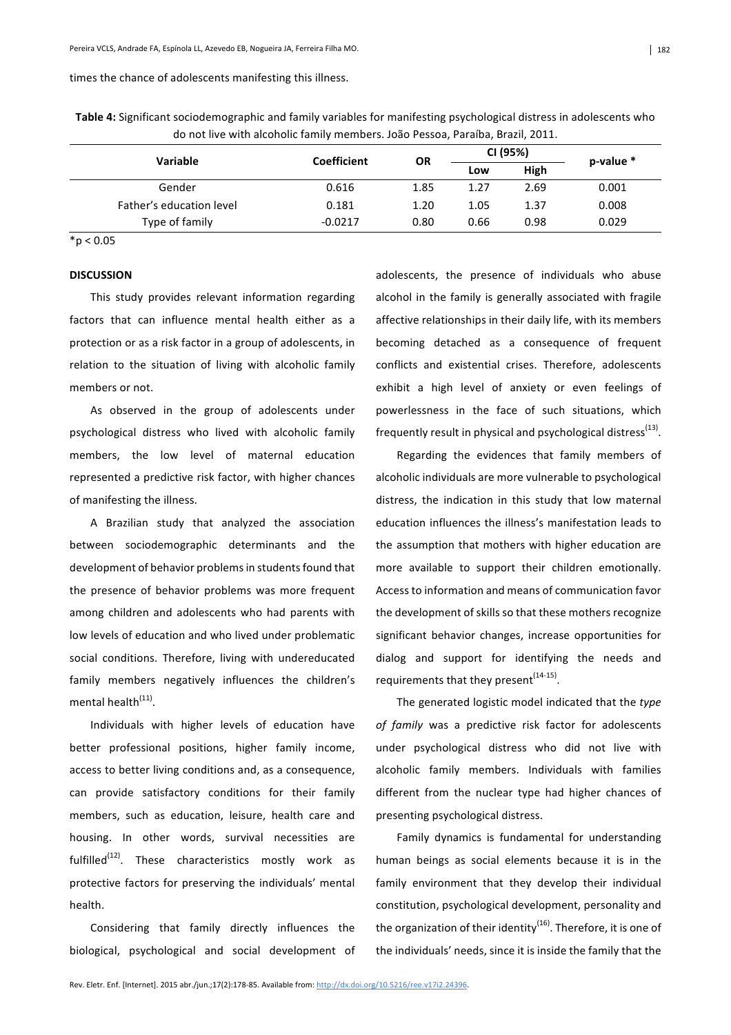#### times the chance of adolescents manifesting this illness.

Table 4: Significant sociodemographic and family variables for manifesting psychological distress in adolescents who do not live with alcoholic family members. João Pessoa, Paraíba, Brazil, 2011.

| <b>Variable</b>          | <b>Coefficient</b> | <b>OR</b> | CI (95%) |      | $p$ -value $*$ |
|--------------------------|--------------------|-----------|----------|------|----------------|
|                          |                    |           | Low      | High |                |
| Gender                   | 0.616              | 1.85      | 1.27     | 2.69 | 0.001          |
| Father's education level | 0.181              | 1.20      | 1.05     | 1.37 | 0.008          |
| Type of family           | $-0.0217$          | 0.80      | 0.66     | 0.98 | 0.029          |

 $*p < 0.05$ 

#### **DISCUSSION**

This study provides relevant information regarding factors that can influence mental health either as a protection or as a risk factor in a group of adolescents, in relation to the situation of living with alcoholic family members or not.

As observed in the group of adolescents under psychological distress who lived with alcoholic family members, the low level of maternal education represented a predictive risk factor, with higher chances of manifesting the illness.

A Brazilian study that analyzed the association between sociodemographic determinants and the development of behavior problems in students found that the presence of behavior problems was more frequent among children and adolescents who had parents with low levels of education and who lived under problematic social conditions. Therefore, living with undereducated family members negatively influences the children's mental health<sup>(11)</sup>.

Individuals with higher levels of education have better professional positions, higher family income, access to better living conditions and, as a consequence, can provide satisfactory conditions for their family members, such as education, leisure, health care and housing. In other words, survival necessities are fulfilled $(12)$ . These characteristics mostly work as protective factors for preserving the individuals' mental health.

Considering that family directly influences the biological, psychological and social development of adolescents, the presence of individuals who abuse alcohol in the family is generally associated with fragile affective relationships in their daily life, with its members becoming detached as a consequence of frequent conflicts and existential crises. Therefore, adolescents exhibit a high level of anxiety or even feelings of powerlessness in the face of such situations, which frequently result in physical and psychological distress<sup>(13)</sup>.

Regarding the evidences that family members of alcoholic individuals are more vulnerable to psychological distress, the indication in this study that low maternal education influences the illness's manifestation leads to the assumption that mothers with higher education are more available to support their children emotionally. Access to information and means of communication favor the development of skills so that these mothers recognize significant behavior changes, increase opportunities for dialog and support for identifying the needs and requirements that they present $(14-15)$ .

The generated logistic model indicated that the type of family was a predictive risk factor for adolescents under psychological distress who did not live with alcoholic family members. Individuals with families different from the nuclear type had higher chances of presenting psychological distress.

Family dynamics is fundamental for understanding human beings as social elements because it is in the family environment that they develop their individual constitution, psychological development, personality and the organization of their identity<sup>(16)</sup>. Therefore, it is one of the individuals' needs, since it is inside the family that the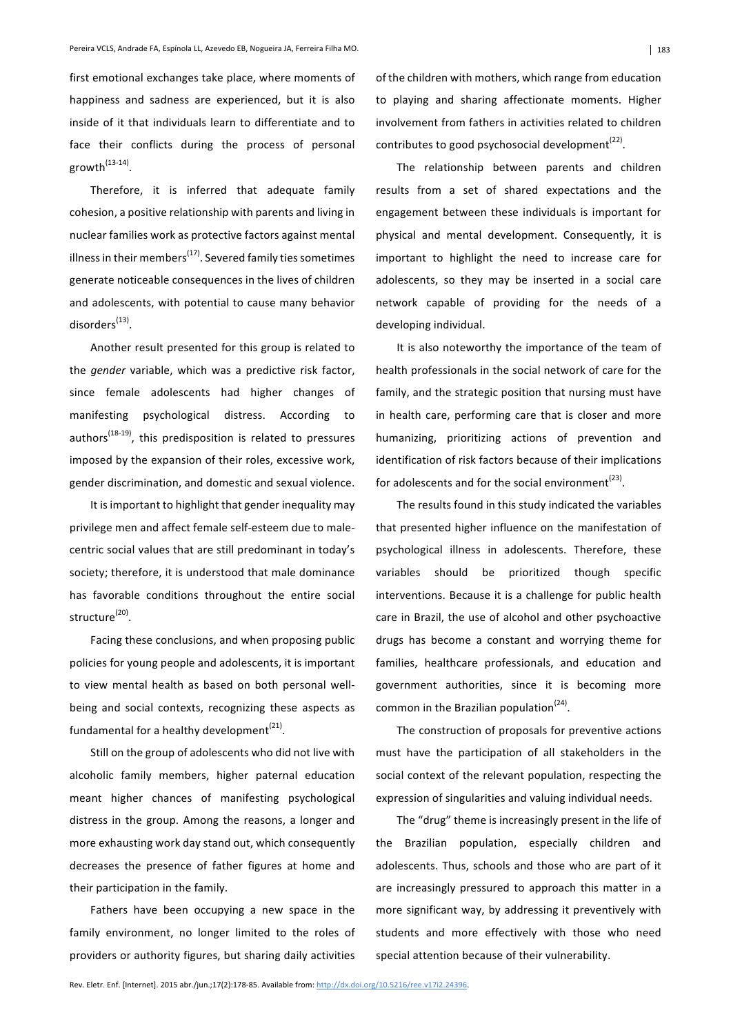first emotional exchanges take place, where moments of happiness and sadness are experienced, but it is also inside of it that individuals learn to differentiate and to face their conflicts during the process of personal growth $^{(13-14)}$ .

Therefore, it is inferred that adequate family cohesion, a positive relationship with parents and living in nuclear families work as protective factors against mental illness in their members<sup> $(17)$ </sup>. Severed family ties sometimes generate noticeable consequences in the lives of children and adolescents, with potential to cause many behavior disorders<sup>(13)</sup>.

Another result presented for this group is related to the *gender* variable, which was a predictive risk factor, since female adolescents had higher changes of manifesting psychological distress. According to  $authors<sup>(18-19)</sup>$ , this predisposition is related to pressures imposed by the expansion of their roles, excessive work, gender discrimination, and domestic and sexual violence.

It is important to highlight that gender inequality may privilege men and affect female self-esteem due to malecentric social values that are still predominant in today's society; therefore, it is understood that male dominance has favorable conditions throughout the entire social structure<sup>(20)</sup>.

Facing these conclusions, and when proposing public policies for young people and adolescents, it is important to view mental health as based on both personal wellbeing and social contexts, recognizing these aspects as fundamental for a healthy development<sup>(21)</sup>.

Still on the group of adolescents who did not live with alcoholic family members, higher paternal education meant higher chances of manifesting psychological distress in the group. Among the reasons, a longer and more exhausting work day stand out, which consequently decreases the presence of father figures at home and their participation in the family.

Fathers have been occupying a new space in the family environment, no longer limited to the roles of providers or authority figures, but sharing daily activities

of the children with mothers, which range from education to playing and sharing affectionate moments. Higher involvement from fathers in activities related to children contributes to good psychosocial development<sup> $(22)$ </sup>.

The relationship between parents and children results from a set of shared expectations and the engagement between these individuals is important for physical and mental development. Consequently, it is important to highlight the need to increase care for adolescents, so they may be inserted in a social care network capable of providing for the needs of a developing individual.

It is also noteworthy the importance of the team of health professionals in the social network of care for the family, and the strategic position that nursing must have in health care, performing care that is closer and more humanizing, prioritizing actions of prevention and identification of risk factors because of their implications for adolescents and for the social environment<sup>(23)</sup>.

The results found in this study indicated the variables that presented higher influence on the manifestation of psychological illness in adolescents. Therefore, these variables should be prioritized though specific interventions. Because it is a challenge for public health care in Brazil, the use of alcohol and other psychoactive drugs has become a constant and worrying theme for families, healthcare professionals, and education and government authorities, since it is becoming more common in the Brazilian population<sup>(24)</sup>.

The construction of proposals for preventive actions must have the participation of all stakeholders in the social context of the relevant population, respecting the expression of singularities and valuing individual needs.

The "drug" theme is increasingly present in the life of the Brazilian population, especially children and adolescents. Thus, schools and those who are part of it are increasingly pressured to approach this matter in a more significant way, by addressing it preventively with students and more effectively with those who need special attention because of their vulnerability.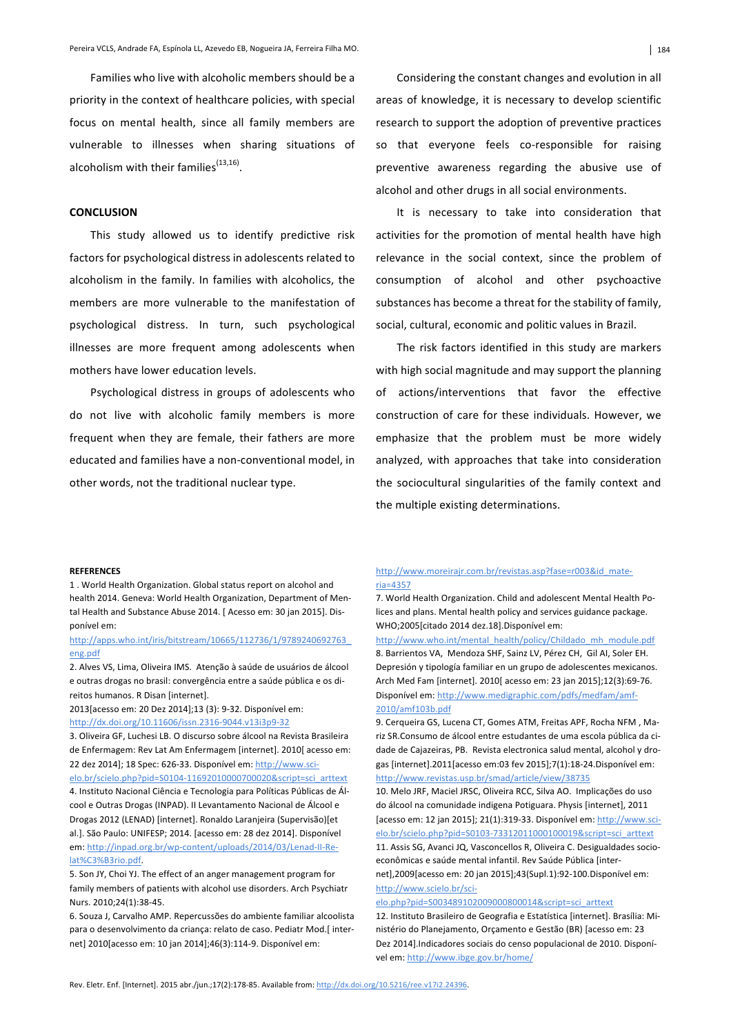Families who live with alcoholic members should be a priority in the context of healthcare policies, with special focus on mental health, since all family members are vulnerable to illnesses when sharing situations of alcoholism with their families $^{(13,16)}$ .

## **CONCLUSION**

This study allowed us to identify predictive risk factors for psychological distress in adolescents related to alcoholism in the family. In families with alcoholics, the members are more vulnerable to the manifestation of psychological distress. In turn, such psychological illnesses are more frequent among adolescents when mothers have lower education levels.

Psychological distress in groups of adolescents who do not live with alcoholic family members is more frequent when they are female, their fathers are more educated and families have a non-conventional model, in other words, not the traditional nuclear type.

Considering the constant changes and evolution in all areas of knowledge, it is necessary to develop scientific research to support the adoption of preventive practices so that everyone feels co-responsible for raising preventive awareness regarding the abusive use of alcohol and other drugs in all social environments.

It is necessary to take into consideration that activities for the promotion of mental health have high relevance in the social context, since the problem of consumption of alcohol and other psychoactive substances has become a threat for the stability of family, social, cultural, economic and politic values in Brazil.

The risk factors identified in this study are markers with high social magnitude and may support the planning of actions/interventions that favor the effective construction of care for these individuals. However, we emphasize that the problem must be more widely analyzed, with approaches that take into consideration the sociocultural singularities of the family context and the multiple existing determinations.

#### **REFERENCES**

1. World Health Organization. Global status report on alcohol and health 2014. Geneva: World Health Organization, Department of Mental Health and Substance Abuse 2014. [ Acesso em: 30 jan 2015]. Disponível em:

### http://apps.who.int/iris/bitstream/10665/112736/1/9789240692763\_ eng.pdf

2. Alves VS, Lima, Oliveira IMS. Atenção à saúde de usuários de álcool e outras drogas no brasil: convergência entre a saúde pública e os direitos humanos. R Disan [internet].

2013[acesso em: 20 Dez 2014];13 (3): 9-32. Disponível em: http://dx.doi.org/10.11606/issn.2316-9044.v13i3p9-32

3. Oliveira GF, Luchesi LB. O discurso sobre álcool na Revista Brasileira de Enfermagem: Rev Lat Am Enfermagem [internet]. 2010[ acesso em: 22 dez 2014]; 18 Spec: 626-33. Disponível em: http://www.scielo.br/scielo.php?pid=S0104-11692010000700020&script=sci\_arttext 4. Instituto Nacional Ciência e Tecnologia para Políticas Públicas de Álcool e Outras Drogas (INPAD). II Levantamento Nacional de Álcool e Drogas 2012 (LENAD) [internet]. Ronaldo Laranjeira (Supervisão)[et al.]. São Paulo: UNIFESP; 2014. [acesso em: 28 dez 2014]. Disponível em: http://inpad.org.br/wp-content/uploads/2014/03/Lenad-II-Relat%C3%B3rio.pdf.

5. Son JY, Choi YJ. The effect of an anger management program for family members of patients with alcohol use disorders. Arch Psychiatr Nurs. 2010;24(1):38-45.

6. Souza J, Carvalho AMP. Repercussões do ambiente familiar alcoolista para o desenvolvimento da criança: relato de caso. Pediatr Mod.[internet] 2010[acesso em: 10 jan 2014];46(3):114-9. Disponível em:

#### http://www.moreirajr.com.br/revistas.asp?fase=r003&id\_materia=4357

7. World Health Organization. Child and adolescent Mental Health Polices and plans. Mental health policy and services guidance package. WHO;2005[citado 2014 dez.18].Disponível em:

http://www.who.int/mental\_health/policy/Childado\_mh\_module.pdf 8. Barrientos VA, Mendoza SHF, Sainz LV, Pérez CH, Gil AI, Soler EH. Depresión y tipología familiar en un grupo de adolescentes mexicanos. Arch Med Fam [internet]. 2010[ acesso em: 23 jan 2015];12(3):69-76. Disponível em: http://www.medigraphic.com/pdfs/medfam/amf-2010/amf103b.pdf

9. Cerqueira GS, Lucena CT, Gomes ATM, Freitas APF, Rocha NFM, Mariz SR.Consumo de álcool entre estudantes de uma escola pública da cidade de Cajazeiras, PB. Revista electronica salud mental, alcohol y drogas [internet].2011[acesso em:03 fev 2015];7(1):18-24.Disponível em: http://www.revistas.usp.br/smad/article/view/38735

10. Melo JRF, Maciel JRSC, Oliveira RCC, Silva AO. Implicações do uso do álcool na comunidade indigena Potiguara. Physis [internet], 2011 [acesso em: 12 jan 2015]; 21(1):319-33. Disponível em: http://www.scielo.br/scielo.php?pid=S0103-73312011000100019&script=sci\_arttext 11. Assis SG, Avanci JQ, Vasconcellos R, Oliveira C. Desigualdades socio-

econômicas e saúde mental infantil. Rev Saúde Pública [internet],2009[acesso em: 20 jan 2015];43(Supl.1):92-100.Disponível em: http://www.scielo.br/sci-

elo.php?pid=S003489102009000800014&script=sci\_arttext

12. Instituto Brasileiro de Geografia e Estatística [internet]. Brasília: Ministério do Planejamento, Orçamento e Gestão (BR) [acesso em: 23 Dez 2014].Indicadores sociais do censo populacional de 2010. Disponível em: http://www.ibge.gov.br/home/